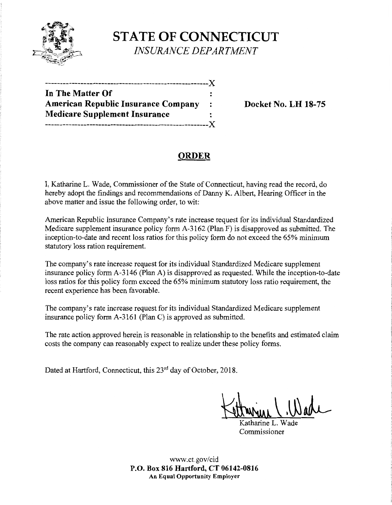

# **STATE OF CONNECTICUT**  *INSURANCE DEPARTMENT*

| In The Matter Of                     |           |
|--------------------------------------|-----------|
| American Republic Insurance Company  | $\cdot$ : |
| <b>Medicare Supplement Insurance</b> |           |
|                                      |           |

**Docket No. LH 18-75** 

# **ORDER**

I, Katharine L. Wade, Commissioner of the State of Connecticut, having read the record, do hereby adopt the findings and recommendations of Danny K. Albert, Hearing Officer in the above matter and issue the following order, to wit:

American Republic Insurance Company's rate increase request for its individual Standardized Medicare supplement insurance policy form A-3162 (Plan F) is disapproved as submitted. The inception-to-date and recent loss ratios for this policy form do not exceed the 65% minimum statutory loss ration requirement.

The company's rate increase request for its individual Standardized Medicare supplement insurance policy form A-3146 (Plan A) is disapproved as requested. While the inception-to-date loss ratios for this policy form exceed the 65% minimum statutory loss ratio requirement, the recent experience has been favorable.

The company's rate increase request for its individual Standardized Medicare supplement insurance policy form A-3161 (Plan C) is approved as submitted.

The rate action approved herein is reasonable in relationship to the benefits and estimated claim costs the company can reasonably expect to realize under these policy forms.

Dated at Hartford, Connecticut, this 23<sup>rd</sup> day of October, 2018.

Ketturine ( Wade

atharine L. Commissioner

www.ct.gov/cid **P.O. Box 816 Hartford, CT 06142-0816 An Equal Opportunity Employer**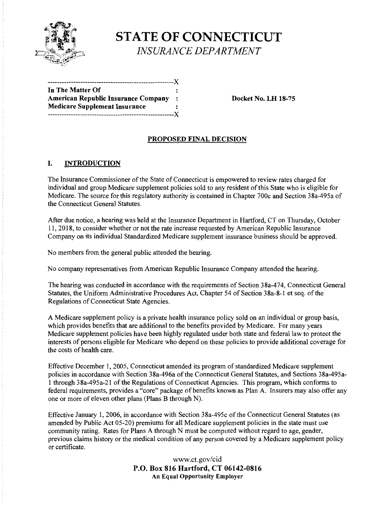

**STATE OF CONNECTICUT**  *INSURANCE DEPARTMENT* 

------------------------------------------------------)( **In The Matter Of American Republic Insurance Company** : **Docket No. LH 18-75 Medicare Supplement Insurance**  ------------------------------------------------------)(

## **PROPOSED FINAL DECISION**

#### I. **INTRODUCTION**

The Insurance Commissioner of the State of Connecticut is empowered to review rates charged for individual and group Medicare supplement policies sold to any resident of this State who is eligible for Medicare. The source for this regulatory authority is contained in Chapter 700c and Section 38a-495a of the Connecticut General Statutes.

After due notice, a hearing was held at the Insurance Department in Hartford, CT on Thursday, October 11, 2018, to consider whether or not the rate increase requested by American Republic Insurance Company on its individual Standardized Medicare supplement insurance business should be approved.

No members from the general public attended the hearing.

No company representatives from American Republic Insurance Company attended the hearing.

The hearing was conducted in accordance with the requirements of Section 38a-474, Connecticut General Statutes, the Uniform Administrative Procedures Act, Chapter 54 of Section 38a-8-1 et seq. of the Regulations of Connecticut State Agencies.

A Medicare supplement policy is a private health insurance policy sold on an individual or group basis, which provides benefits that are additional to the benefits provided by Medicare. For many years Medicare supplement policies have been highly regulated under both state and federal law to protect the interests of persons eligible for Medicare who depend on these policies to provide additional coverage for the costs of health care.

Effective December 1, 2005, Connecticut amended its program of standardized Medicare supplement policies in accordance with Section 38a-496a of the Connecticut General Statutes, and Sections 38a-495a-1 through 38a-495a-21 of the Regulations of Connecticut Agencies. This program, which conforms to federal requirements, provides a "core" package of benefits known as Plan A. Insurers may also offer any one or more of eleven other plans (Plans B through N).

Effective January 1, 2006, in accordance with Section 38a-495c of the Connecticut General Statutes (as amended by Public Act 05-20) premiums for all Medicare supplement policies in the state must use community rating. Rates for Plans A through N must be computed without regard to age, gender, previous claims history or the medical condition of any person covered by a Medicare supplement policy or certificate.

> www.ct.gov/cid **P.O. Box 816 Hartford, CT 06142-0816 An Equal Opportunity Employer**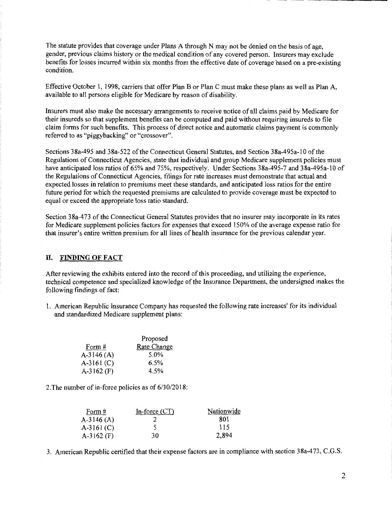The statute provides that coverage under Plans A through N may not be denied on the basis of age, gender, previous claims history or the medical condition of any covered person. Insurers may exclude benefits for losses incurred within six months from the effective date of coverage based on a pre-existing condition.

Effective October I, 1998, carriers that offer Plan B or Plan C must make these plans as well as Plan A, available to all persons eligible for Medicare by reason of disability.

Insurers must also make the necessary arrangements to receive notice of all claims paid by Medicare for their insureds so that supplement benefits can be computed and paid without requiring insureds to file claim forms for such benefits. This process of direct notice and automatic claims payment is commonly referred to as "piggybacking" or "crossover".

Sections 38a-495 and 38a-522 ofthe Connecticut General Statutes, and Section 38a-495a-10 of the Regulations of Connecticut Agencies, state that individual and group Medicare supplement policies must have anticipated loss ratios of 65% and 75%, respectively. Under Sections 38a-495-7 and 38a-495a-10 of the Regulations of Connecticut Agencies, filings for rate increases must demonstrate that actual and expected losses in relation to premiums meet these standards, and anticipated loss ratios for the entire future period for which the requested premiums are calculated to provide coverage must be expected to equal or exceed the appropriate loss ratio standard.

Section 3 8a-4 73 of the Connecticut General Statutes provides that no insurer may incorporate in its rates for Medicare supplement policies factors for expenses that exceed 150% of the average expense ratio for that insurer's entire written premium for all lines of health insurance for the previous calendar year.

#### II. **FINDING OF FACT**

After reviewing the exhibits entered into the record of this proceeding, and utilizing the experience, technical competence and specialized knowledge of the Insurance Department, the undersigned makes the following findings of fact:

I. American Republic Insurance Company has requested the following rate increases' for its individual and standardized Medicare supplement plans:

|              | Proposed           |
|--------------|--------------------|
| Form #       | <b>Rate Change</b> |
| $A-3146(A)$  | 5.0%               |
| $A-3161(C)$  | 6.5%               |
| A-3162 $(F)$ | 4.5%               |

2.The number of in-force policies as of 6/30/2018:

| Form $#$     | In-force $(CT)$ | Nationwide |
|--------------|-----------------|------------|
| $A-3146(A)$  |                 | 801        |
| $A-3161 (C)$ |                 | 115        |
| $A-3162$ (F) | 30              | 2,894      |

3. American Republic certified that their expense factors are in compliance with section 38a-473, C.G.S.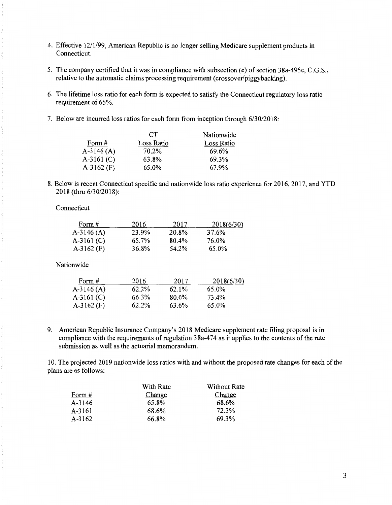- 4. Effective 12/1/99, American Republic is no longer selling Medicare supplement products in Connecticut.
- 5. The company certified that it was in compliance with subsection (e) of section 38a-495c, C.G.S., relative to the automatic claims processing requirement (crossover/piggybacking).
- 6. The lifetime loss ratio for each form is expected to satisfy the Connecticut regulatory loss ratio requirement of 65%.
- 7. Below are incurred loss ratios for each form from inception through 6/30/2018:

|              | <b>CT</b>  | Nationwide |
|--------------|------------|------------|
| Form $#$     | Loss Ratio | Loss Ratio |
| A-3146 $(A)$ | 70.2%      | 69.6%      |
| A-3161 $(C)$ | 63.8%      | 69.3%      |
| $A-3162$ (F) | 65.0%      | 67.9%      |

8. Below is recent Connecticut specific and nationwide loss ratio experience for 2016, 2017, and YTD 2018 (thru 6/30/2018):

Connecticut

| Form #       | 2016  | 2017  | 2018(6/30) |
|--------------|-------|-------|------------|
| $A-3146(A)$  | 23.9% | 20.8% | 37.6%      |
| $A-3161 (C)$ | 65.7% | 80.4% | 76.0%      |
| A-3162 $(F)$ | 36.8% | 54.2% | 65.0%      |

Nationwide

| Form #       | 2016  | 2017  | 2018(6/30) |
|--------------|-------|-------|------------|
| A-3146 $(A)$ | 62.2% | 62.1% | 65.0%      |
| A-3161 $(C)$ | 66.3% | 80.0% | 73.4%      |
| $A-3162$ (F) | 62.2% | 63.6% | 65.0%      |

9. American Republic Insurance Company's 2018 Medicare supplement rate filing proposal is in compliance with the requirements of regulation 38a-474 as it applies to the contents of the rate submission as well as the actuarial memorandum.

10. The projected 2019 nationwide loss ratios with and without the proposed rate changes for each ofthe plans are as follows:

|        | With Rate | Without Rate |
|--------|-----------|--------------|
| Form # | Change    | Change       |
| A-3146 | 65.8%     | 68.6%        |
| A-3161 | 68.6%     | 72.3%        |
| A-3162 | 66.8%     | 69.3%        |